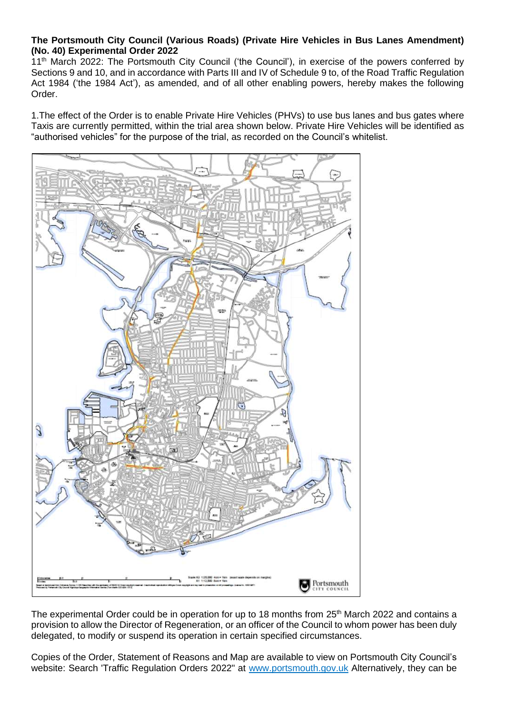## **The Portsmouth City Council (Various Roads) (Private Hire Vehicles in Bus Lanes Amendment) (No. 40) Experimental Order 2022**

11<sup>th</sup> March 2022: The Portsmouth City Council ('the Council'), in exercise of the powers conferred by Sections 9 and 10, and in accordance with Parts III and IV of Schedule 9 to, of the Road Traffic Regulation Act 1984 ('the 1984 Act'), as amended, and of all other enabling powers, hereby makes the following Order.

1.The effect of the Order is to enable Private Hire Vehicles (PHVs) to use bus lanes and bus gates where Taxis are currently permitted, within the trial area shown below. Private Hire Vehicles will be identified as "authorised vehicles" for the purpose of the trial, as recorded on the Council's whitelist.



The experimental Order could be in operation for up to 18 months from 25<sup>th</sup> March 2022 and contains a provision to allow the Director of Regeneration, or an officer of the Council to whom power has been duly delegated, to modify or suspend its operation in certain specified circumstances.

Copies of the Order, Statement of Reasons and Map are available to view on Portsmouth City Council's website: Search 'Traffic Regulation Orders 2022" at [www.portsmouth.gov.uk](http://www.portsmouth.gov.uk/) Alternatively, they can be